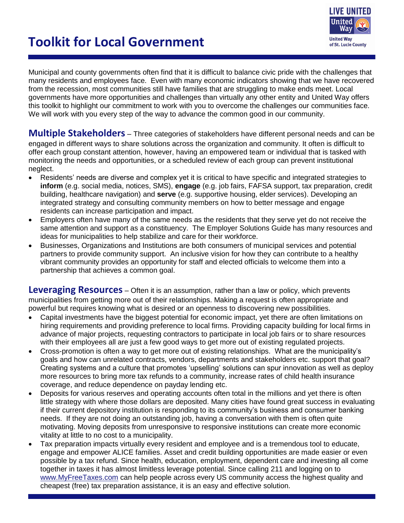# **Toolkit for Local Government**



Municipal and county governments often find that it is difficult to balance civic pride with the challenges that many residents and employees face. Even with many economic indicators showing that we have recovered from the recession, most communities still have families that are struggling to make ends meet. Local governments have more opportunities and challenges than virtually any other entity and United Way offers this toolkit to highlight our commitment to work with you to overcome the challenges our communities face. We will work with you every step of the way to advance the common good in our community.

**Multiple Stakeholders** – Three categories of stakeholders have different personal needs and can be engaged in different ways to share solutions across the organization and community. It often is difficult to offer each group constant attention, however, having an empowered team or individual that is tasked with monitoring the needs and opportunities, or a scheduled review of each group can prevent institutional neglect.

- Residents' needs are diverse and complex yet it is critical to have specific and integrated strategies to **inform** (e.g. social media, notices, SMS), **engage** (e.g. job fairs, FAFSA support, tax preparation, credit building, healthcare navigation) and **serve** (e.g. supportive housing, elder services). Developing an integrated strategy and consulting community members on how to better message and engage residents can increase participation and impact.
- Employers often have many of the same needs as the residents that they serve yet do not receive the same attention and support as a constituency. The Employer Solutions Guide has many resources and ideas for municipalities to help stabilize and care for their workforce.
- Businesses, Organizations and Institutions are both consumers of municipal services and potential partners to provide community support. An inclusive vision for how they can contribute to a healthy vibrant community provides an opportunity for staff and elected officials to welcome them into a partnership that achieves a common goal.

**Leveraging Resources** – Often it is an assumption, rather than a law or policy, which prevents municipalities from getting more out of their relationships. Making a request is often appropriate and powerful but requires knowing what is desired or an openness to discovering new possibilities.

- Capital investments have the biggest potential for economic impact, yet there are often limitations on hiring requirements and providing preference to local firms. Providing capacity building for local firms in advance of major projects, requesting contractors to participate in local job fairs or to share resources with their employees all are just a few good ways to get more out of existing regulated projects.
- Cross-promotion is often a way to get more out of existing relationships. What are the municipality's goals and how can unrelated contracts, vendors, departments and stakeholders etc. support that goal? Creating systems and a culture that promotes 'upselling' solutions can spur innovation as well as deploy more resources to bring more tax refunds to a community, increase rates of child health insurance coverage, and reduce dependence on payday lending etc.
- Deposits for various reserves and operating accounts often total in the millions and yet there is often little strategy with where those dollars are deposited. Many cities have found great success in evaluating if their current depository institution is responding to its community's business and consumer banking needs. If they are not doing an outstanding job, having a conversation with them is often quite motivating. Moving deposits from unresponsive to responsive institutions can create more economic vitality at little to no cost to a municipality.
- Tax preparation impacts virtually every resident and employee and is a tremendous tool to educate, engage and empower ALICE families. Asset and credit building opportunities are made easier or even possible by a tax refund. Since health, education, employment, dependent care and investing all come together in taxes it has almost limitless leverage potential. Since calling 211 and logging on to [www.MyFreeTaxes.com](http://www.myfreetaxes.com/) can help people across every US community access the highest quality and cheapest (free) tax preparation assistance, it is an easy and effective solution.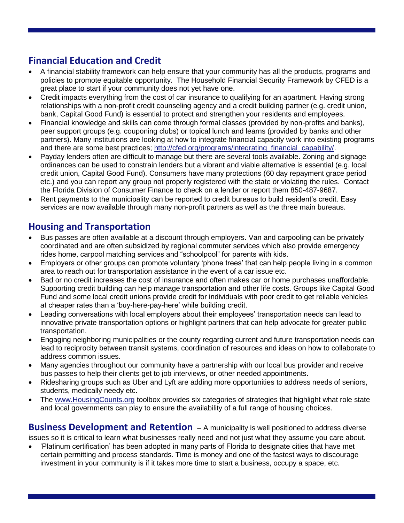## **Financial Education and Credit**

- A financial stability framework can help ensure that your community has all the products, programs and policies to promote equitable opportunity. The Household Financial Security Framework by CFED is a great place to start if your community does not yet have one.
- Credit impacts everything from the cost of car insurance to qualifying for an apartment. Having strong relationships with a non-profit credit counseling agency and a credit building partner (e.g. credit union, bank, Capital Good Fund) is essential to protect and strengthen your residents and employees.
- Financial knowledge and skills can come through formal classes (provided by non-profits and banks), peer support groups (e.g. couponing clubs) or topical lunch and learns (provided by banks and other partners). Many institutions are looking at how to integrate financial capacity work into existing programs and there are some best practices; [http://cfed.org/programs/integrating\\_financial\\_capability/.](http://cfed.org/programs/integrating_financial_capability/)
- Payday lenders often are difficult to manage but there are several tools available. Zoning and signage ordinances can be used to constrain lenders but a vibrant and viable alternative is essential (e.g. local credit union, Capital Good Fund). Consumers have many protections (60 day repayment grace period etc.) and you can report any group not properly registered with the state or violating the rules. Contact the Florida Division of Consumer Finance to check on a lender or report them 850-487-9687.
- Rent payments to the municipality can be reported to credit bureaus to build resident's credit. Easy services are now available through many non-profit partners as well as the three main bureaus.

## **Housing and Transportation**

- Bus passes are often available at a discount through employers. Van and carpooling can be privately coordinated and are often subsidized by regional commuter services which also provide emergency rides home, carpool matching services and "schoolpool" for parents with kids.
- Employers or other groups can promote voluntary 'phone trees' that can help people living in a common area to reach out for transportation assistance in the event of a car issue etc.
- Bad or no credit increases the cost of insurance and often makes car or home purchases unaffordable. Supporting credit building can help manage transportation and other life costs. Groups like Capital Good Fund and some local credit unions provide credit for individuals with poor credit to get reliable vehicles at cheaper rates than a 'buy-here-pay-here' while building credit.
- Leading conversations with local employers about their employees' transportation needs can lead to innovative private transportation options or highlight partners that can help advocate for greater public transportation.
- Engaging neighboring municipalities or the county regarding current and future transportation needs can lead to reciprocity between transit systems, coordination of resources and ideas on how to collaborate to address common issues.
- Many agencies throughout our community have a partnership with our local bus provider and receive bus passes to help their clients get to job interviews, or other needed appointments.
- Ridesharing groups such as Uber and Lyft are adding more opportunities to address needs of seniors, students, medically needy etc.
- The [www.HousingCounts.org](http://www.housingcounts.org/) toolbox provides six categories of strategies that highlight what role state and local governments can play to ensure the availability of a full range of housing choices.

**Business Development and Retention** – A municipality is well positioned to address diverse issues so it is critical to learn what businesses really need and not just what they assume you care about.

 'Platinum certification' has been adopted in many parts of Florida to designate cities that have met certain permitting and process standards. Time is money and one of the fastest ways to discourage investment in your community is if it takes more time to start a business, occupy a space, etc.